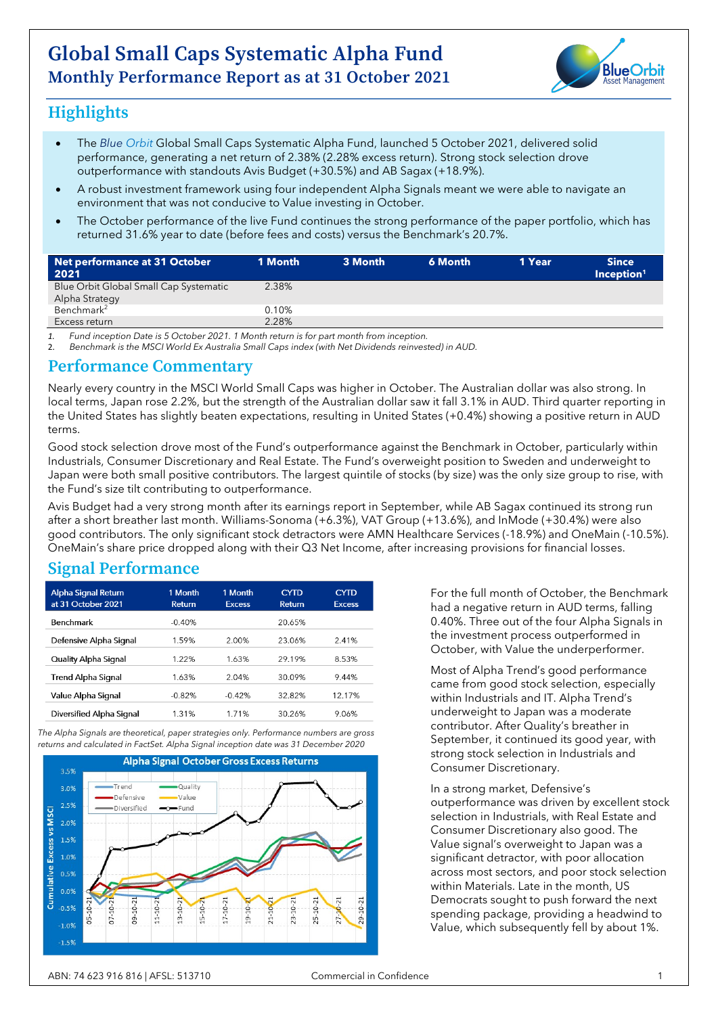

# **Highlights**

- The *Blue Orbit* Global Small Caps Systematic Alpha Fund, launched 5 October 2021, delivered solid performance, generating a net return of 2.38% (2.28% excess return). Strong stock selection drove outperformance with standouts Avis Budget (+30.5%) and AB Sagax (+18.9%).
- A robust investment framework using four independent Alpha Signals meant we were able to navigate an environment that was not conducive to Value investing in October.
- The October performance of the live Fund continues the strong performance of the paper portfolio, which has returned 31.6% year to date (before fees and costs) versus the Benchmark's 20.7%.

| Net performance at 31 October          | 1 Month | 3 Month | 6 Month | 1 Year | <b>Since</b>           |
|----------------------------------------|---------|---------|---------|--------|------------------------|
| 2021                                   |         |         |         |        | Inception <sup>1</sup> |
| Blue Orbit Global Small Cap Systematic | 2.38%   |         |         |        |                        |
| Alpha Strategy                         |         |         |         |        |                        |
| Benchmark <sup>2</sup>                 | 0.10%   |         |         |        |                        |
| Excess return                          | 2.28%   |         |         |        |                        |

*1. Fund inception Date is 5 October 2021. 1 Month return is for part month from inception.* 

2. *Benchmark is the MSCI World Ex Australia Small Caps index (with Net Dividends reinvested) in AUD.*

#### **Performance Commentary**

Nearly every country in the MSCI World Small Caps was higher in October. The Australian dollar was also strong. In local terms, Japan rose 2.2%, but the strength of the Australian dollar saw it fall 3.1% in AUD. Third quarter reporting in the United States has slightly beaten expectations, resulting in United States (+0.4%) showing a positive return in AUD terms.

Good stock selection drove most of the Fund's outperformance against the Benchmark in October, particularly within Industrials, Consumer Discretionary and Real Estate. The Fund's overweight position to Sweden and underweight to Japan were both small positive contributors. The largest quintile of stocks (by size) was the only size group to rise, with the Fund's size tilt contributing to outperformance.

Avis Budget had a very strong month after its earnings report in September, while AB Sagax continued its strong run after a short breather last month. Williams-Sonoma (+6.3%), VAT Group (+13.6%), and InMode (+30.4%) were also good contributors. The only significant stock detractors were AMN Healthcare Services (-18.9%) and OneMain (-10.5%). OneMain's share price dropped along with their Q3 Net Income, after increasing provisions for financial losses.

## **Signal Performance**

| <b>Alpha Signal Return</b><br>at 31 October 2021 | 1 Month<br><b>Return</b> | 1 Month<br><b>Excess</b> | <b>CYTD</b><br><b>Return</b> | <b>CYTD</b><br><b>Excess</b> |
|--------------------------------------------------|--------------------------|--------------------------|------------------------------|------------------------------|
| Benchmark                                        | $-0.40%$                 |                          | 20.65%                       |                              |
| Defensive Alpha Signal                           | 1.59%                    | 2.00%                    | 23.06%                       | 2.41%                        |
| Quality Alpha Signal                             | 1.22%                    | 1.63%                    | 29.19%                       | 8.53%                        |
| <b>Trend Alpha Signal</b>                        | 1.63%                    | 2.04%                    | 30.09%                       | 9.44%                        |
| Value Alpha Signal                               | $-0.82%$                 | $-0.42%$                 | 32.82%                       | 12.17%                       |
| Diversified Alpha Signal                         | 1.31%                    | 1.71%                    | 30.26%                       | 9.06%                        |

*The Alpha Signals are theoretical, paper strategies only. Performance numbers are gross returns and calculated in FactSet. Alpha Signal inception date was 31 December 2020*



For the full month of October, the Benchmark had a negative return in AUD terms, falling 0.40%. Three out of the four Alpha Signals in the investment process outperformed in October, with Value the underperformer.

Most of Alpha Trend's good performance came from good stock selection, especially within Industrials and IT. Alpha Trend's underweight to Japan was a moderate contributor. After Quality's breather in September, it continued its good year, with strong stock selection in Industrials and Consumer Discretionary.

In a strong market, Defensive's outperformance was driven by excellent stock selection in Industrials, with Real Estate and Consumer Discretionary also good. The Value signal's overweight to Japan was a significant detractor, with poor allocation across most sectors, and poor stock selection within Materials. Late in the month, US Democrats sought to push forward the next spending package, providing a headwind to Value, which subsequently fell by about 1%.